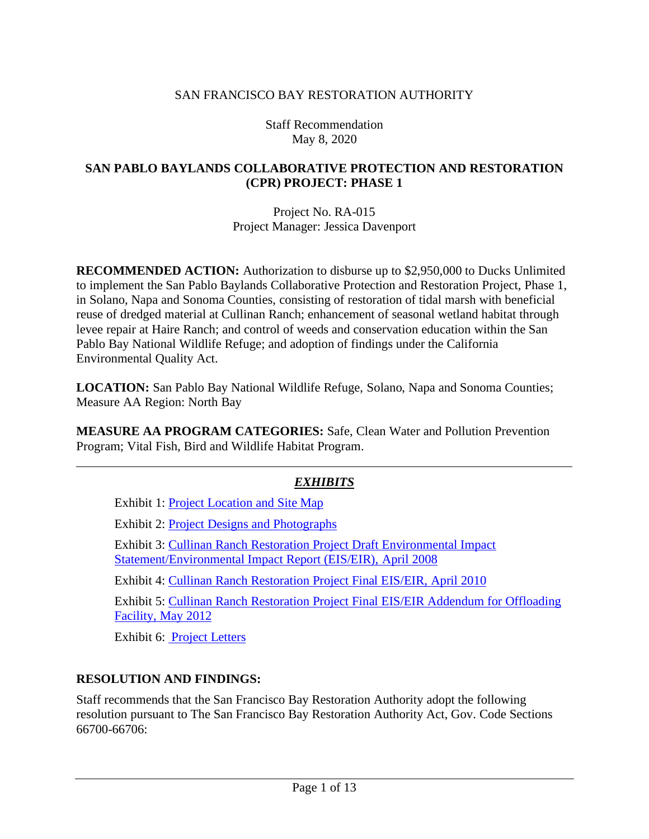#### SAN FRANCISCO BAY RESTORATION AUTHORITY

Staff Recommendation May 8, 2020

#### **SAN PABLO BAYLANDS COLLABORATIVE PROTECTION AND RESTORATION (CPR) PROJECT: PHASE 1**

Project No. RA-015 Project Manager: Jessica Davenport

**RECOMMENDED ACTION:** Authorization to disburse up to \$2,950,000 to Ducks Unlimited to implement the San Pablo Baylands Collaborative Protection and Restoration Project, Phase 1, in Solano, Napa and Sonoma Counties, consisting of restoration of tidal marsh with beneficial reuse of dredged material at Cullinan Ranch; enhancement of seasonal wetland habitat through levee repair at Haire Ranch; and control of weeds and conservation education within the San Pablo Bay National Wildlife Refuge; and adoption of findings under the California Environmental Quality Act.

**LOCATION:** San Pablo Bay National Wildlife Refuge, Solano, Napa and Sonoma Counties; Measure AA Region: North Bay

**MEASURE AA PROGRAM CATEGORIES:** Safe, Clean Water and Pollution Prevention Program; Vital Fish, Bird and Wildlife Habitat Program.

# *EXHIBITS*

Exhibit 1: [Project Location and Site Map](http://sfbayrestore.org/sites/default/files/2020-05/EX1_SA~1.PDF)

Exhibit 2: **Project Designs and Photographs** 

Exhibit 3[: Cullinan Ranch Restoration Project Draft Environmental Impact](http://sfbayrestore.org/sites/default/files/2020-05/Ex3_Cullinan%20Ranch%20Draft%20EIS-R.pdf)  [Statement/Environmental Impact Report \(EIS/EIR\), April 2008](http://sfbayrestore.org/sites/default/files/2020-05/Ex3_Cullinan%20Ranch%20Draft%20EIS-R.pdf)

Exhibit 4: [Cullinan Ranch Restoration Project Final EIS/EIR, April 2010](http://sfbayrestore.org/sites/default/files/2020-05/Ex4_Cullinan%20Ranch_Final_EIS-R.pdf)

Exhibit 5[: Cullinan Ranch Restoration Project Final EIS/EIR Addendum for Offloading](http://sfbayrestore.org/sites/default/files/2020-05/EX5_SL~1.PDF) [Facility, May 2012](http://sfbayrestore.org/sites/default/files/2020-05/EX5_SL~1.PDF)

Exhibit 6: [Project Letters](http://sfbayrestore.org/sites/default/files/2020-05/Ex6_Project%20Letters.pdf)

#### **RESOLUTION AND FINDINGS:**

Staff recommends that the San Francisco Bay Restoration Authority adopt the following resolution pursuant to The San Francisco Bay Restoration Authority Act, Gov. Code Sections 66700-66706: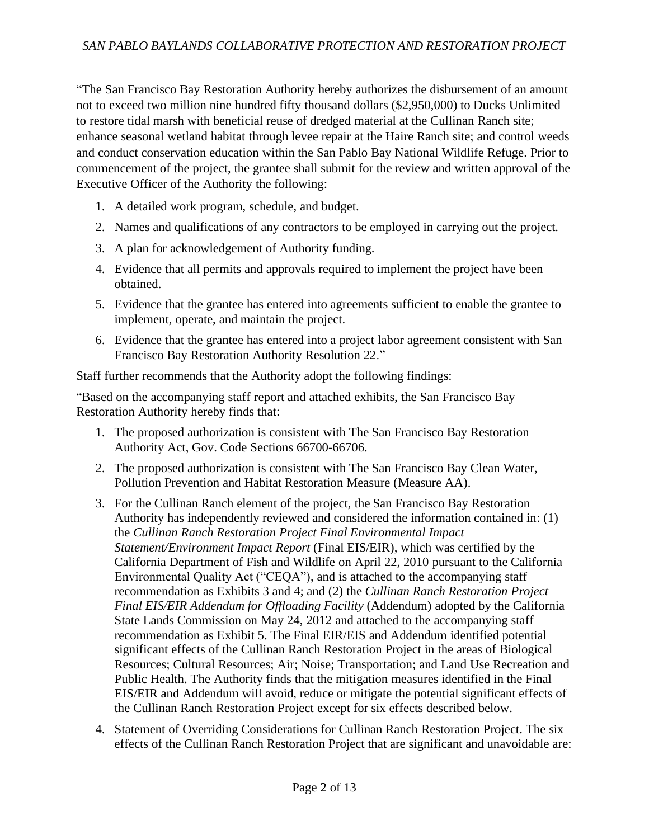"The San Francisco Bay Restoration Authority hereby authorizes the disbursement of an amount not to exceed two million nine hundred fifty thousand dollars (\$2,950,000) to Ducks Unlimited to restore tidal marsh with beneficial reuse of dredged material at the Cullinan Ranch site; enhance seasonal wetland habitat through levee repair at the Haire Ranch site; and control weeds and conduct conservation education within the San Pablo Bay National Wildlife Refuge. Prior to commencement of the project, the grantee shall submit for the review and written approval of the Executive Officer of the Authority the following:

- 1. A detailed work program, schedule, and budget.
- 2. Names and qualifications of any contractors to be employed in carrying out the project.
- 3. A plan for acknowledgement of Authority funding.
- 4. Evidence that all permits and approvals required to implement the project have been obtained.
- 5. Evidence that the grantee has entered into agreements sufficient to enable the grantee to implement, operate, and maintain the project.
- 6. Evidence that the grantee has entered into a project labor agreement consistent with San Francisco Bay Restoration Authority Resolution 22."

Staff further recommends that the Authority adopt the following findings:

"Based on the accompanying staff report and attached exhibits, the San Francisco Bay Restoration Authority hereby finds that:

- 1. The proposed authorization is consistent with The San Francisco Bay Restoration Authority Act, Gov. Code Sections 66700-66706.
- 2. The proposed authorization is consistent with The San Francisco Bay Clean Water, Pollution Prevention and Habitat Restoration Measure (Measure AA).
- 3. For the Cullinan Ranch element of the project, the San Francisco Bay Restoration Authority has independently reviewed and considered the information contained in: (1) the *Cullinan Ranch Restoration Project Final Environmental Impact Statement/Environment Impact Report* (Final EIS/EIR), which was certified by the California Department of Fish and Wildlife on April 22, 2010 pursuant to the California Environmental Quality Act ("CEQA"), and is attached to the accompanying staff recommendation as Exhibits 3 and 4; and (2) the *Cullinan Ranch Restoration Project Final EIS/EIR Addendum for Offloading Facility* (Addendum) adopted by the California State Lands Commission on May 24, 2012 and attached to the accompanying staff recommendation as Exhibit 5. The Final EIR/EIS and Addendum identified potential significant effects of the Cullinan Ranch Restoration Project in the areas of Biological Resources; Cultural Resources; Air; Noise; Transportation; and Land Use Recreation and Public Health. The Authority finds that the mitigation measures identified in the Final EIS/EIR and Addendum will avoid, reduce or mitigate the potential significant effects of the Cullinan Ranch Restoration Project except for six effects described below.
- 4. Statement of Overriding Considerations for Cullinan Ranch Restoration Project. The six effects of the Cullinan Ranch Restoration Project that are significant and unavoidable are: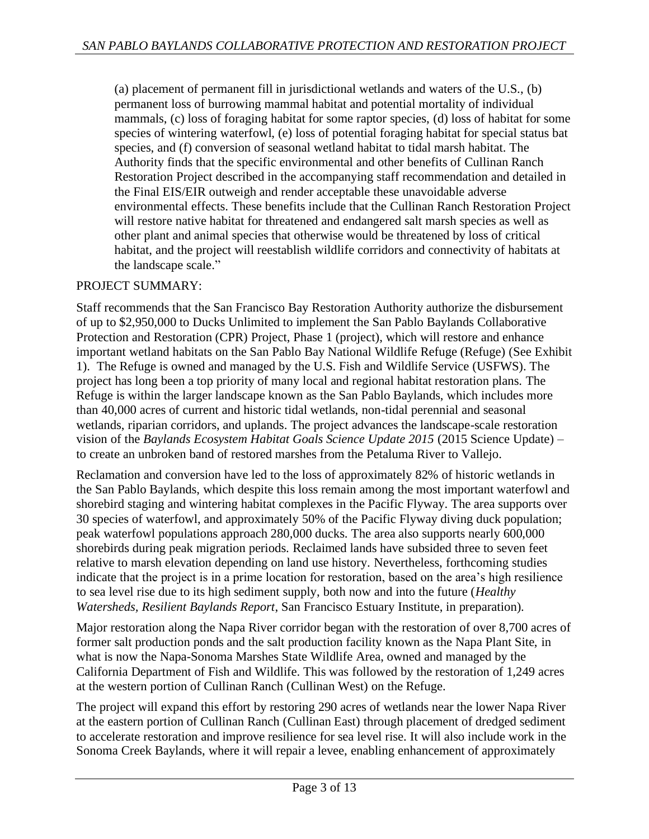(a) placement of permanent fill in jurisdictional wetlands and waters of the U.S., (b) permanent loss of burrowing mammal habitat and potential mortality of individual mammals, (c) loss of foraging habitat for some raptor species, (d) loss of habitat for some species of wintering waterfowl, (e) loss of potential foraging habitat for special status bat species, and (f) conversion of seasonal wetland habitat to tidal marsh habitat. The Authority finds that the specific environmental and other benefits of Cullinan Ranch Restoration Project described in the accompanying staff recommendation and detailed in the Final EIS/EIR outweigh and render acceptable these unavoidable adverse environmental effects. These benefits include that the Cullinan Ranch Restoration Project will restore native habitat for threatened and endangered salt marsh species as well as other plant and animal species that otherwise would be threatened by loss of critical habitat, and the project will reestablish wildlife corridors and connectivity of habitats at the landscape scale."

### PROJECT SUMMARY:

Staff recommends that the San Francisco Bay Restoration Authority authorize the disbursement of up to \$2,950,000 to Ducks Unlimited to implement the San Pablo Baylands Collaborative Protection and Restoration (CPR) Project, Phase 1 (project), which will restore and enhance important wetland habitats on the San Pablo Bay National Wildlife Refuge (Refuge) (See Exhibit 1). The Refuge is owned and managed by the U.S. Fish and Wildlife Service (USFWS). The project has long been a top priority of many local and regional habitat restoration plans. The Refuge is within the larger landscape known as the San Pablo Baylands, which includes more than 40,000 acres of current and historic tidal wetlands, non-tidal perennial and seasonal wetlands, riparian corridors, and uplands. The project advances the landscape-scale restoration vision of the *Baylands Ecosystem Habitat Goals Science Update 2015* (2015 Science Update) – to create an unbroken band of restored marshes from the Petaluma River to Vallejo.

Reclamation and conversion have led to the loss of approximately 82% of historic wetlands in the San Pablo Baylands, which despite this loss remain among the most important waterfowl and shorebird staging and wintering habitat complexes in the Pacific Flyway. The area supports over 30 species of waterfowl, and approximately 50% of the Pacific Flyway diving duck population; peak waterfowl populations approach 280,000 ducks. The area also supports nearly 600,000 shorebirds during peak migration periods. Reclaimed lands have subsided three to seven feet relative to marsh elevation depending on land use history. Nevertheless, forthcoming studies indicate that the project is in a prime location for restoration, based on the area's high resilience to sea level rise due to its high sediment supply, both now and into the future (*Healthy Watersheds, Resilient Baylands Report*, San Francisco Estuary Institute, in preparation).

Major restoration along the Napa River corridor began with the restoration of over 8,700 acres of former salt production ponds and the salt production facility known as the Napa Plant Site, in what is now the Napa-Sonoma Marshes State Wildlife Area, owned and managed by the California Department of Fish and Wildlife. This was followed by the restoration of 1,249 acres at the western portion of Cullinan Ranch (Cullinan West) on the Refuge.

The project will expand this effort by restoring 290 acres of wetlands near the lower Napa River at the eastern portion of Cullinan Ranch (Cullinan East) through placement of dredged sediment to accelerate restoration and improve resilience for sea level rise. It will also include work in the Sonoma Creek Baylands, where it will repair a levee, enabling enhancement of approximately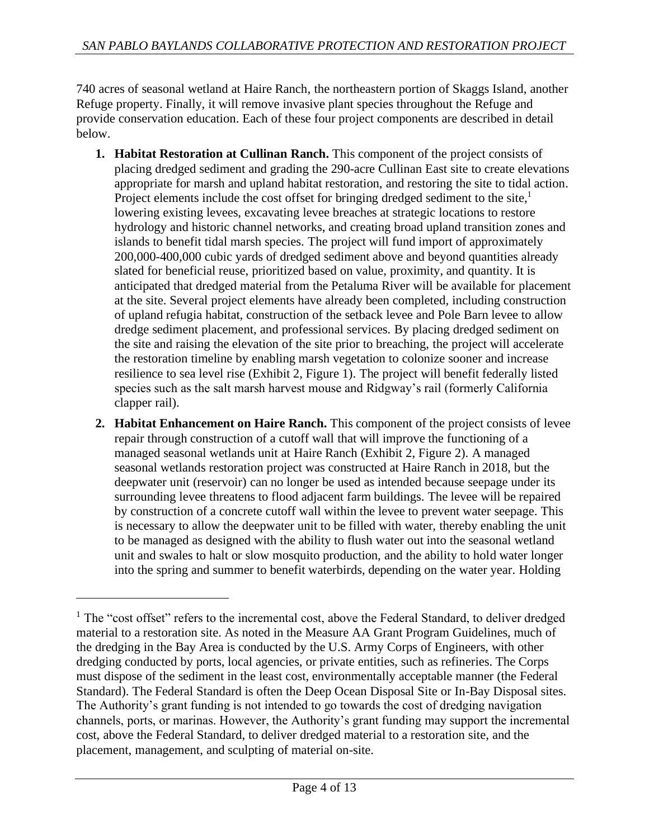740 acres of seasonal wetland at Haire Ranch, the northeastern portion of Skaggs Island, another Refuge property. Finally, it will remove invasive plant species throughout the Refuge and provide conservation education. Each of these four project components are described in detail below.

- **1. Habitat Restoration at Cullinan Ranch.** This component of the project consists of placing dredged sediment and grading the 290-acre Cullinan East site to create elevations appropriate for marsh and upland habitat restoration, and restoring the site to tidal action. Project elements include the cost offset for bringing dredged sediment to the site,<sup>1</sup> lowering existing levees, excavating levee breaches at strategic locations to restore hydrology and historic channel networks, and creating broad upland transition zones and islands to benefit tidal marsh species. The project will fund import of approximately 200,000-400,000 cubic yards of dredged sediment above and beyond quantities already slated for beneficial reuse, prioritized based on value, proximity, and quantity. It is anticipated that dredged material from the Petaluma River will be available for placement at the site. Several project elements have already been completed, including construction of upland refugia habitat, construction of the setback levee and Pole Barn levee to allow dredge sediment placement, and professional services. By placing dredged sediment on the site and raising the elevation of the site prior to breaching, the project will accelerate the restoration timeline by enabling marsh vegetation to colonize sooner and increase resilience to sea level rise (Exhibit 2, Figure 1). The project will benefit federally listed species such as the salt marsh harvest mouse and Ridgway's rail (formerly California clapper rail).
- **2. Habitat Enhancement on Haire Ranch.** This component of the project consists of levee repair through construction of a cutoff wall that will improve the functioning of a managed seasonal wetlands unit at Haire Ranch (Exhibit 2, Figure 2). A managed seasonal wetlands restoration project was constructed at Haire Ranch in 2018, but the deepwater unit (reservoir) can no longer be used as intended because seepage under its surrounding levee threatens to flood adjacent farm buildings. The levee will be repaired by construction of a concrete cutoff wall within the levee to prevent water seepage. This is necessary to allow the deepwater unit to be filled with water, thereby enabling the unit to be managed as designed with the ability to flush water out into the seasonal wetland unit and swales to halt or slow mosquito production, and the ability to hold water longer into the spring and summer to benefit waterbirds, depending on the water year. Holding

<sup>&</sup>lt;sup>1</sup> The "cost offset" refers to the incremental cost, above the Federal Standard, to deliver dredged material to a restoration site. As noted in the Measure AA Grant Program Guidelines, much of the dredging in the Bay Area is conducted by the U.S. Army Corps of Engineers, with other dredging conducted by ports, local agencies, or private entities, such as refineries. The Corps must dispose of the sediment in the least cost, environmentally acceptable manner (the Federal Standard). The Federal Standard is often the Deep Ocean Disposal Site or In-Bay Disposal sites. The Authority's grant funding is not intended to go towards the cost of dredging navigation channels, ports, or marinas. However, the Authority's grant funding may support the incremental cost, above the Federal Standard, to deliver dredged material to a restoration site, and the placement, management, and sculpting of material on-site.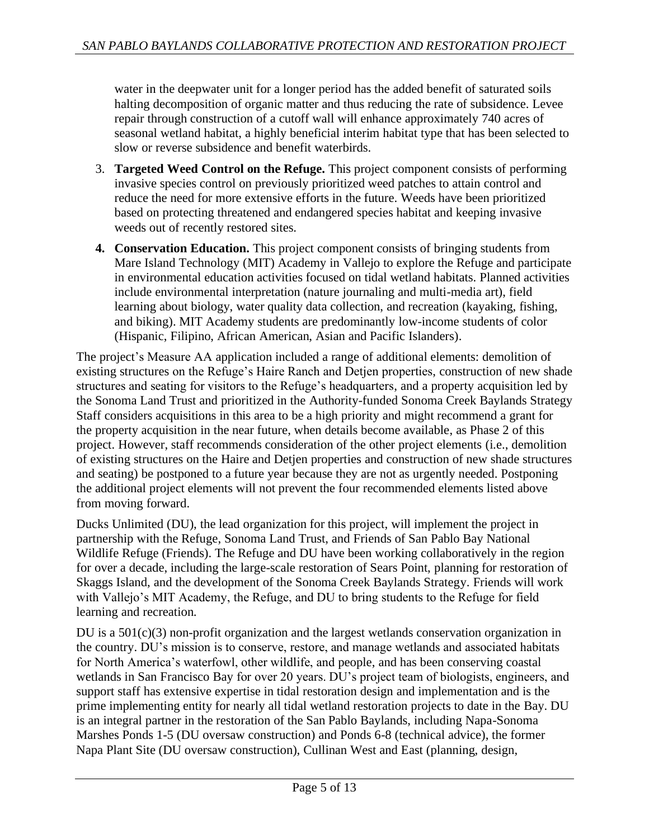water in the deepwater unit for a longer period has the added benefit of saturated soils halting decomposition of organic matter and thus reducing the rate of subsidence. Levee repair through construction of a cutoff wall will enhance approximately 740 acres of seasonal wetland habitat, a highly beneficial interim habitat type that has been selected to slow or reverse subsidence and benefit waterbirds.

- 3. **Targeted Weed Control on the Refuge.** This project component consists of performing invasive species control on previously prioritized weed patches to attain control and reduce the need for more extensive efforts in the future. Weeds have been prioritized based on protecting threatened and endangered species habitat and keeping invasive weeds out of recently restored sites.
- **4. Conservation Education.** This project component consists of bringing students from Mare Island Technology (MIT) Academy in Vallejo to explore the Refuge and participate in environmental education activities focused on tidal wetland habitats. Planned activities include environmental interpretation (nature journaling and multi-media art), field learning about biology, water quality data collection, and recreation (kayaking, fishing, and biking). MIT Academy students are predominantly low-income students of color (Hispanic, Filipino, African American, Asian and Pacific Islanders).

The project's Measure AA application included a range of additional elements: demolition of existing structures on the Refuge's Haire Ranch and Detjen properties, construction of new shade structures and seating for visitors to the Refuge's headquarters, and a property acquisition led by the Sonoma Land Trust and prioritized in the Authority-funded Sonoma Creek Baylands Strategy Staff considers acquisitions in this area to be a high priority and might recommend a grant for the property acquisition in the near future, when details become available, as Phase 2 of this project. However, staff recommends consideration of the other project elements (i.e., demolition of existing structures on the Haire and Detjen properties and construction of new shade structures and seating) be postponed to a future year because they are not as urgently needed. Postponing the additional project elements will not prevent the four recommended elements listed above from moving forward.

Ducks Unlimited (DU), the lead organization for this project, will implement the project in partnership with the Refuge, Sonoma Land Trust, and Friends of San Pablo Bay National Wildlife Refuge (Friends). The Refuge and DU have been working collaboratively in the region for over a decade, including the large-scale restoration of Sears Point, planning for restoration of Skaggs Island, and the development of the Sonoma Creek Baylands Strategy. Friends will work with Vallejo's MIT Academy, the Refuge, and DU to bring students to the Refuge for field learning and recreation.

DU is a 501(c)(3) non-profit organization and the largest wetlands conservation organization in the country. DU's mission is to conserve, restore, and manage wetlands and associated habitats for North America's waterfowl, other wildlife, and people, and has been conserving coastal wetlands in San Francisco Bay for over 20 years. DU's project team of biologists, engineers, and support staff has extensive expertise in tidal restoration design and implementation and is the prime implementing entity for nearly all tidal wetland restoration projects to date in the Bay. DU is an integral partner in the restoration of the San Pablo Baylands, including Napa-Sonoma Marshes Ponds 1-5 (DU oversaw construction) and Ponds 6-8 (technical advice), the former Napa Plant Site (DU oversaw construction), Cullinan West and East (planning, design,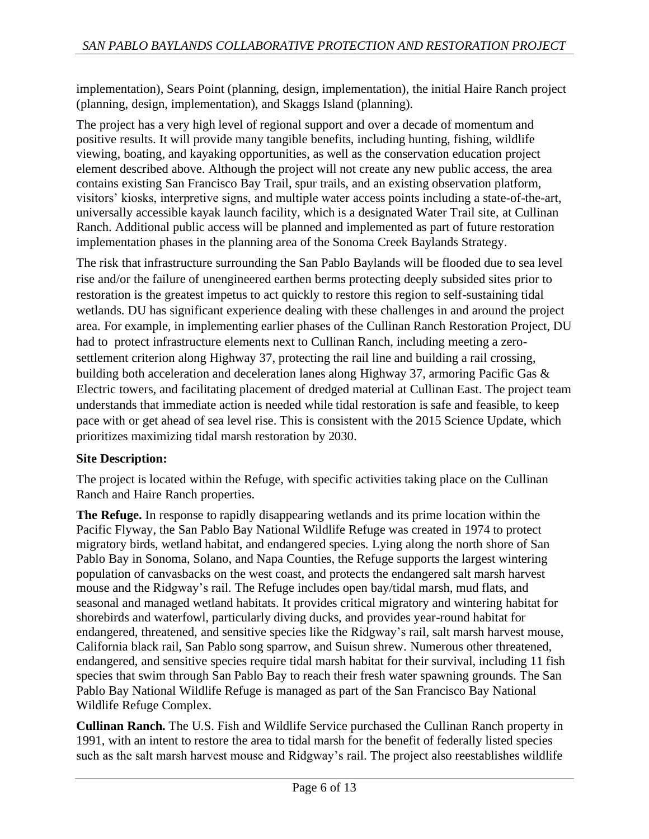implementation), Sears Point (planning, design, implementation), the initial Haire Ranch project (planning, design, implementation), and Skaggs Island (planning).

The project has a very high level of regional support and over a decade of momentum and positive results. It will provide many tangible benefits, including hunting, fishing, wildlife viewing, boating, and kayaking opportunities, as well as the conservation education project element described above. Although the project will not create any new public access, the area contains existing San Francisco Bay Trail, spur trails, and an existing observation platform, visitors' kiosks, interpretive signs, and multiple water access points including a state-of-the-art, universally accessible kayak launch facility, which is a designated Water Trail site, at Cullinan Ranch. Additional public access will be planned and implemented as part of future restoration implementation phases in the planning area of the Sonoma Creek Baylands Strategy.

The risk that infrastructure surrounding the San Pablo Baylands will be flooded due to sea level rise and/or the failure of unengineered earthen berms protecting deeply subsided sites prior to restoration is the greatest impetus to act quickly to restore this region to self-sustaining tidal wetlands. DU has significant experience dealing with these challenges in and around the project area. For example, in implementing earlier phases of the Cullinan Ranch Restoration Project, DU had to protect infrastructure elements next to Cullinan Ranch, including meeting a zerosettlement criterion along Highway 37, protecting the rail line and building a rail crossing, building both acceleration and deceleration lanes along Highway 37, armoring Pacific Gas & Electric towers, and facilitating placement of dredged material at Cullinan East. The project team understands that immediate action is needed while tidal restoration is safe and feasible, to keep pace with or get ahead of sea level rise. This is consistent with the 2015 Science Update, which prioritizes maximizing tidal marsh restoration by 2030.

# **Site Description:**

The project is located within the Refuge, with specific activities taking place on the Cullinan Ranch and Haire Ranch properties.

**The Refuge.** In response to rapidly disappearing wetlands and its prime location within the Pacific Flyway, the San Pablo Bay National Wildlife Refuge was created in 1974 to protect migratory birds, wetland habitat, and endangered species. Lying along the north shore of San Pablo Bay in Sonoma, Solano, and Napa Counties, the Refuge supports the largest wintering population of canvasbacks on the west coast, and protects the endangered salt marsh harvest mouse and the Ridgway's rail. The Refuge includes open bay/tidal marsh, mud flats, and seasonal and managed wetland habitats. It provides critical migratory and wintering habitat for shorebirds and waterfowl, particularly diving ducks, and provides year-round habitat for endangered, threatened, and sensitive species like the Ridgway's rail, salt marsh harvest mouse, California black rail, San Pablo song sparrow, and Suisun shrew. Numerous other threatened, endangered, and sensitive species require tidal marsh habitat for their survival, including 11 fish species that swim through San Pablo Bay to reach their fresh water spawning grounds. The San Pablo Bay National Wildlife Refuge is managed as part of the San Francisco Bay National Wildlife Refuge Complex.

**Cullinan Ranch.** The U.S. Fish and Wildlife Service purchased the Cullinan Ranch property in 1991, with an intent to restore the area to tidal marsh for the benefit of federally listed species such as the salt marsh harvest mouse and Ridgway's rail. The project also reestablishes wildlife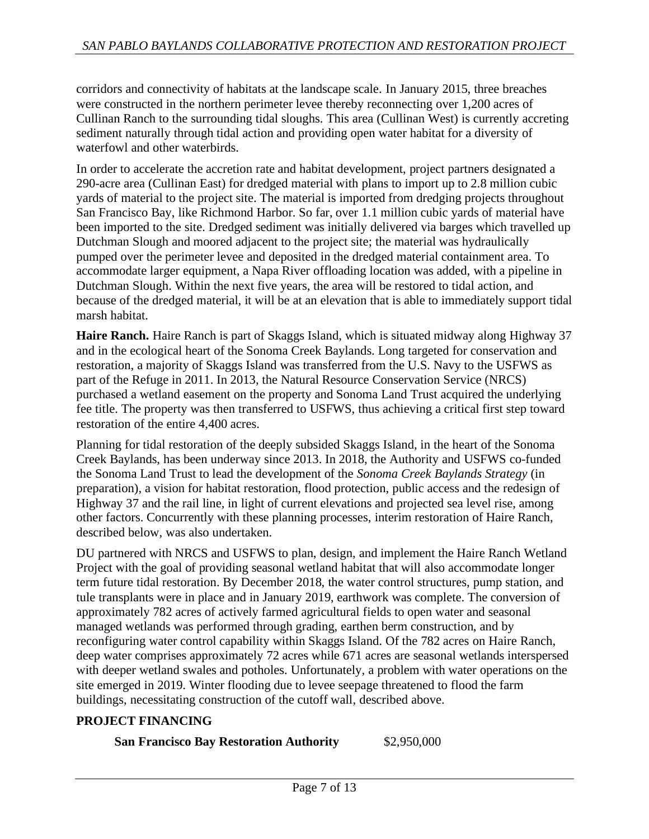corridors and connectivity of habitats at the landscape scale. In January 2015, three breaches were constructed in the northern perimeter levee thereby reconnecting over 1,200 acres of Cullinan Ranch to the surrounding tidal sloughs. This area (Cullinan West) is currently accreting sediment naturally through tidal action and providing open water habitat for a diversity of waterfowl and other waterbirds.

In order to accelerate the accretion rate and habitat development, project partners designated a 290-acre area (Cullinan East) for dredged material with plans to import up to 2.8 million cubic yards of material to the project site. The material is imported from dredging projects throughout San Francisco Bay, like Richmond Harbor. So far, over 1.1 million cubic yards of material have been imported to the site. Dredged sediment was initially delivered via barges which travelled up Dutchman Slough and moored adjacent to the project site; the material was hydraulically pumped over the perimeter levee and deposited in the dredged material containment area. To accommodate larger equipment, a Napa River offloading location was added, with a pipeline in Dutchman Slough. Within the next five years, the area will be restored to tidal action, and because of the dredged material, it will be at an elevation that is able to immediately support tidal marsh habitat.

**Haire Ranch.** Haire Ranch is part of Skaggs Island, which is situated midway along Highway 37 and in the ecological heart of the Sonoma Creek Baylands. Long targeted for conservation and restoration, a majority of Skaggs Island was transferred from the U.S. Navy to the USFWS as part of the Refuge in 2011. In 2013, the Natural Resource Conservation Service (NRCS) purchased a wetland easement on the property and Sonoma Land Trust acquired the underlying fee title. The property was then transferred to USFWS, thus achieving a critical first step toward restoration of the entire 4,400 acres.

Planning for tidal restoration of the deeply subsided Skaggs Island, in the heart of the Sonoma Creek Baylands, has been underway since 2013. In 2018, the Authority and USFWS co-funded the Sonoma Land Trust to lead the development of the *Sonoma Creek Baylands Strategy* (in preparation), a vision for habitat restoration, flood protection, public access and the redesign of Highway 37 and the rail line, in light of current elevations and projected sea level rise, among other factors. Concurrently with these planning processes, interim restoration of Haire Ranch, described below, was also undertaken.

DU partnered with NRCS and USFWS to plan, design, and implement the Haire Ranch Wetland Project with the goal of providing seasonal wetland habitat that will also accommodate longer term future tidal restoration. By December 2018, the water control structures, pump station, and tule transplants were in place and in January 2019, earthwork was complete. The conversion of approximately 782 acres of actively farmed agricultural fields to open water and seasonal managed wetlands was performed through grading, earthen berm construction, and by reconfiguring water control capability within Skaggs Island. Of the 782 acres on Haire Ranch, deep water comprises approximately 72 acres while 671 acres are seasonal wetlands interspersed with deeper wetland swales and potholes. Unfortunately, a problem with water operations on the site emerged in 2019. Winter flooding due to levee seepage threatened to flood the farm buildings, necessitating construction of the cutoff wall, described above.

# **PROJECT FINANCING**

**San Francisco Bay Restoration Authority** \$2,950,000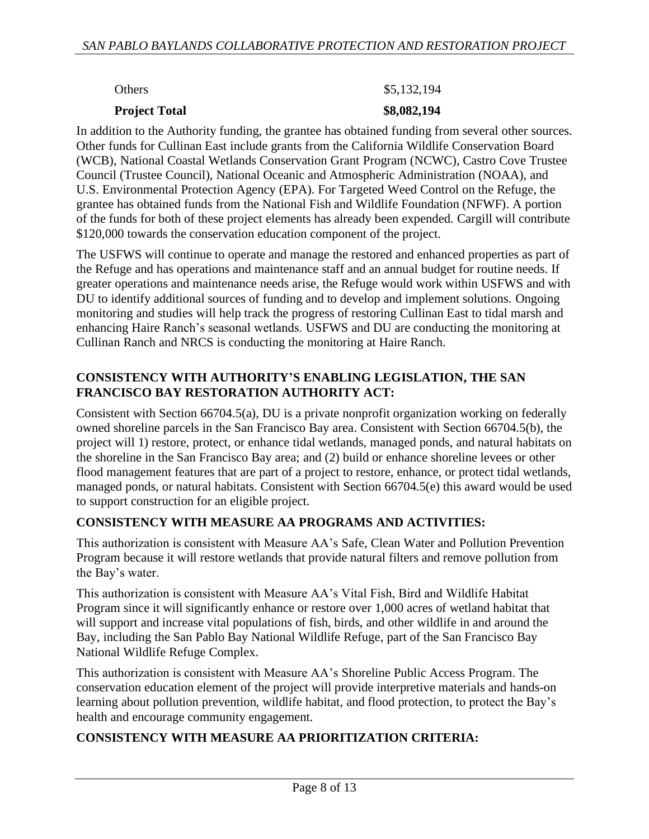### **Project Total \$8,082,194**

### Others \$5,132,194

In addition to the Authority funding, the grantee has obtained funding from several other sources. Other funds for Cullinan East include grants from the California Wildlife Conservation Board (WCB), National Coastal Wetlands Conservation Grant Program (NCWC), Castro Cove Trustee Council (Trustee Council), National Oceanic and Atmospheric Administration (NOAA), and U.S. Environmental Protection Agency (EPA). For Targeted Weed Control on the Refuge, the grantee has obtained funds from the National Fish and Wildlife Foundation (NFWF). A portion of the funds for both of these project elements has already been expended. Cargill will contribute \$120,000 towards the conservation education component of the project.

The USFWS will continue to operate and manage the restored and enhanced properties as part of the Refuge and has operations and maintenance staff and an annual budget for routine needs. If greater operations and maintenance needs arise, the Refuge would work within USFWS and with DU to identify additional sources of funding and to develop and implement solutions. Ongoing monitoring and studies will help track the progress of restoring Cullinan East to tidal marsh and enhancing Haire Ranch's seasonal wetlands. USFWS and DU are conducting the monitoring at Cullinan Ranch and NRCS is conducting the monitoring at Haire Ranch.

# **CONSISTENCY WITH AUTHORITY'S ENABLING LEGISLATION, THE SAN FRANCISCO BAY RESTORATION AUTHORITY ACT:**

Consistent with Section 66704.5(a), DU is a private nonprofit organization working on federally owned shoreline parcels in the San Francisco Bay area. Consistent with Section 66704.5(b), the project will 1) restore, protect, or enhance tidal wetlands, managed ponds, and natural habitats on the shoreline in the San Francisco Bay area; and (2) build or enhance shoreline levees or other flood management features that are part of a project to restore, enhance, or protect tidal wetlands, managed ponds, or natural habitats. Consistent with Section 66704.5(e) this award would be used to support construction for an eligible project.

# **CONSISTENCY WITH MEASURE AA PROGRAMS AND ACTIVITIES:**

This authorization is consistent with Measure AA's Safe, Clean Water and Pollution Prevention Program because it will restore wetlands that provide natural filters and remove pollution from the Bay's water.

This authorization is consistent with Measure AA's Vital Fish, Bird and Wildlife Habitat Program since it will significantly enhance or restore over 1,000 acres of wetland habitat that will support and increase vital populations of fish, birds, and other wildlife in and around the Bay, including the San Pablo Bay National Wildlife Refuge, part of the San Francisco Bay National Wildlife Refuge Complex.

This authorization is consistent with Measure AA's Shoreline Public Access Program. The conservation education element of the project will provide interpretive materials and hands-on learning about pollution prevention, wildlife habitat, and flood protection, to protect the Bay's health and encourage community engagement.

# **CONSISTENCY WITH MEASURE AA PRIORITIZATION CRITERIA:**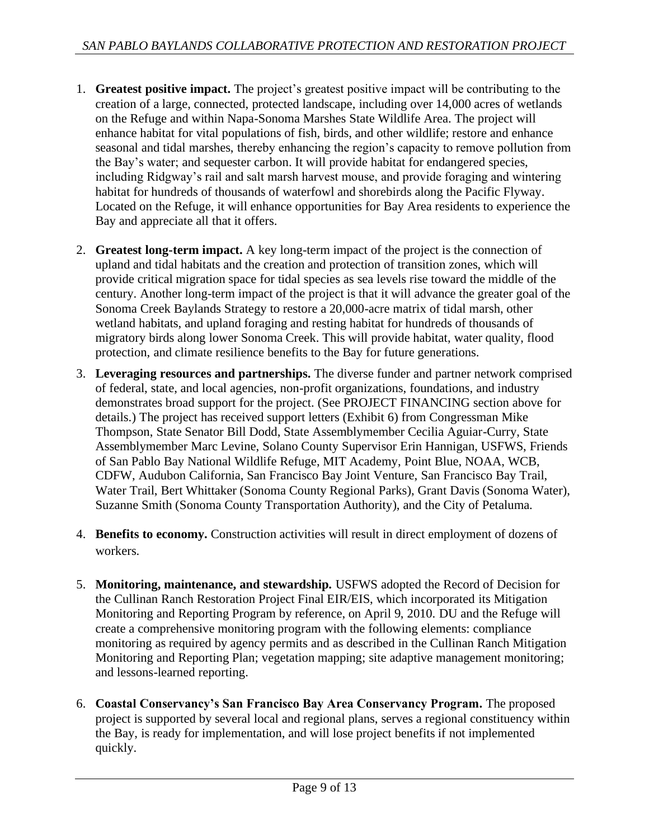- 1. **Greatest positive impact.** The project's greatest positive impact will be contributing to the creation of a large, connected, protected landscape, including over 14,000 acres of wetlands on the Refuge and within Napa-Sonoma Marshes State Wildlife Area. The project will enhance habitat for vital populations of fish, birds, and other wildlife; restore and enhance seasonal and tidal marshes, thereby enhancing the region's capacity to remove pollution from the Bay's water; and sequester carbon. It will provide habitat for endangered species, including Ridgway's rail and salt marsh harvest mouse, and provide foraging and wintering habitat for hundreds of thousands of waterfowl and shorebirds along the Pacific Flyway. Located on the Refuge, it will enhance opportunities for Bay Area residents to experience the Bay and appreciate all that it offers.
- 2. **Greatest long-term impact.** A key long-term impact of the project is the connection of upland and tidal habitats and the creation and protection of transition zones, which will provide critical migration space for tidal species as sea levels rise toward the middle of the century. Another long-term impact of the project is that it will advance the greater goal of the Sonoma Creek Baylands Strategy to restore a 20,000-acre matrix of tidal marsh, other wetland habitats, and upland foraging and resting habitat for hundreds of thousands of migratory birds along lower Sonoma Creek. This will provide habitat, water quality, flood protection, and climate resilience benefits to the Bay for future generations.
- 3. **Leveraging resources and partnerships.** The diverse funder and partner network comprised of federal, state, and local agencies, non-profit organizations, foundations, and industry demonstrates broad support for the project. (See PROJECT FINANCING section above for details.) The project has received support letters (Exhibit 6) from Congressman Mike Thompson, State Senator Bill Dodd, State Assemblymember Cecilia Aguiar-Curry, State Assemblymember Marc Levine, Solano County Supervisor Erin Hannigan, USFWS, Friends of San Pablo Bay National Wildlife Refuge, MIT Academy, Point Blue, NOAA, WCB, CDFW, Audubon California, San Francisco Bay Joint Venture, San Francisco Bay Trail, Water Trail, Bert Whittaker (Sonoma County Regional Parks), Grant Davis (Sonoma Water), Suzanne Smith (Sonoma County Transportation Authority), and the City of Petaluma.
- 4. **Benefits to economy.** Construction activities will result in direct employment of dozens of workers.
- 5. **Monitoring, maintenance, and stewardship.** USFWS adopted the Record of Decision for the Cullinan Ranch Restoration Project Final EIR/EIS, which incorporated its Mitigation Monitoring and Reporting Program by reference, on April 9, 2010. DU and the Refuge will create a comprehensive monitoring program with the following elements: compliance monitoring as required by agency permits and as described in the Cullinan Ranch Mitigation Monitoring and Reporting Plan; vegetation mapping; site adaptive management monitoring; and lessons-learned reporting.
- 6. **Coastal Conservancy's San Francisco Bay Area Conservancy Program.** The proposed project is supported by several local and regional plans, serves a regional constituency within the Bay, is ready for implementation, and will lose project benefits if not implemented quickly.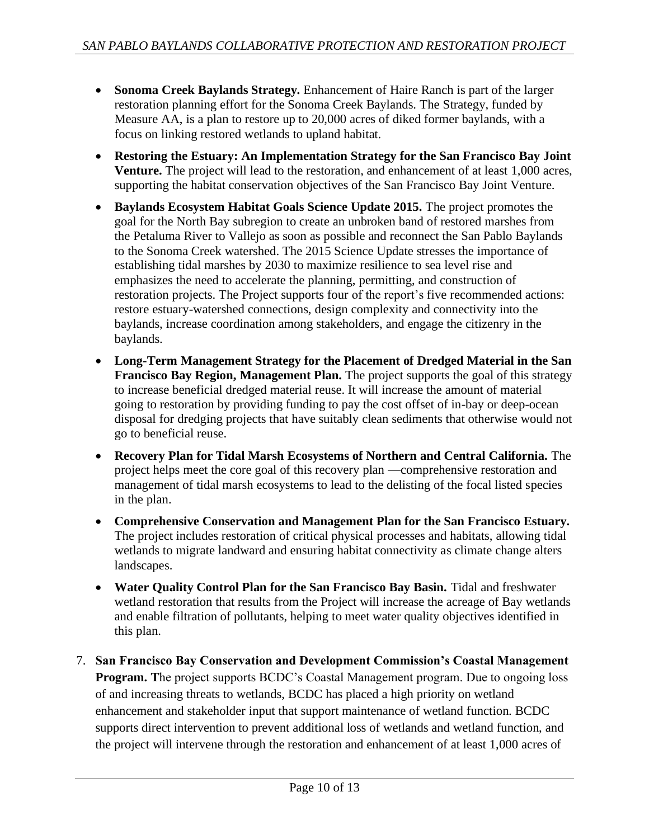- **Sonoma Creek Baylands Strategy.** Enhancement of Haire Ranch is part of the larger restoration planning effort for the Sonoma Creek Baylands. The Strategy, funded by Measure AA, is a plan to restore up to 20,000 acres of diked former baylands, with a focus on linking restored wetlands to upland habitat.
- **Restoring the Estuary: An Implementation Strategy for the San Francisco Bay Joint Venture.** The project will lead to the restoration, and enhancement of at least 1,000 acres, supporting the habitat conservation objectives of the San Francisco Bay Joint Venture.
- **Baylands Ecosystem Habitat Goals Science Update 2015.** The project promotes the goal for the North Bay subregion to create an unbroken band of restored marshes from the Petaluma River to Vallejo as soon as possible and reconnect the San Pablo Baylands to the Sonoma Creek watershed. The 2015 Science Update stresses the importance of establishing tidal marshes by 2030 to maximize resilience to sea level rise and emphasizes the need to accelerate the planning, permitting, and construction of restoration projects. The Project supports four of the report's five recommended actions: restore estuary-watershed connections, design complexity and connectivity into the baylands, increase coordination among stakeholders, and engage the citizenry in the baylands.
- **Long-Term Management Strategy for the Placement of Dredged Material in the San Francisco Bay Region, Management Plan.** The project supports the goal of this strategy to increase beneficial dredged material reuse. It will increase the amount of material going to restoration by providing funding to pay the cost offset of in-bay or deep-ocean disposal for dredging projects that have suitably clean sediments that otherwise would not go to beneficial reuse.
- **Recovery Plan for Tidal Marsh Ecosystems of Northern and Central California.** The project helps meet the core goal of this recovery plan —comprehensive restoration and management of tidal marsh ecosystems to lead to the delisting of the focal listed species in the plan.
- **Comprehensive Conservation and Management Plan for the San Francisco Estuary.**  The project includes restoration of critical physical processes and habitats, allowing tidal wetlands to migrate landward and ensuring habitat connectivity as climate change alters landscapes.
- **Water Quality Control Plan for the San Francisco Bay Basin.** Tidal and freshwater wetland restoration that results from the Project will increase the acreage of Bay wetlands and enable filtration of pollutants, helping to meet water quality objectives identified in this plan.
- 7. **San Francisco Bay Conservation and Development Commission's Coastal Management Program.** The project supports BCDC's Coastal Management program. Due to ongoing loss of and increasing threats to wetlands, BCDC has placed a high priority on wetland enhancement and stakeholder input that support maintenance of wetland function. BCDC supports direct intervention to prevent additional loss of wetlands and wetland function, and the project will intervene through the restoration and enhancement of at least 1,000 acres of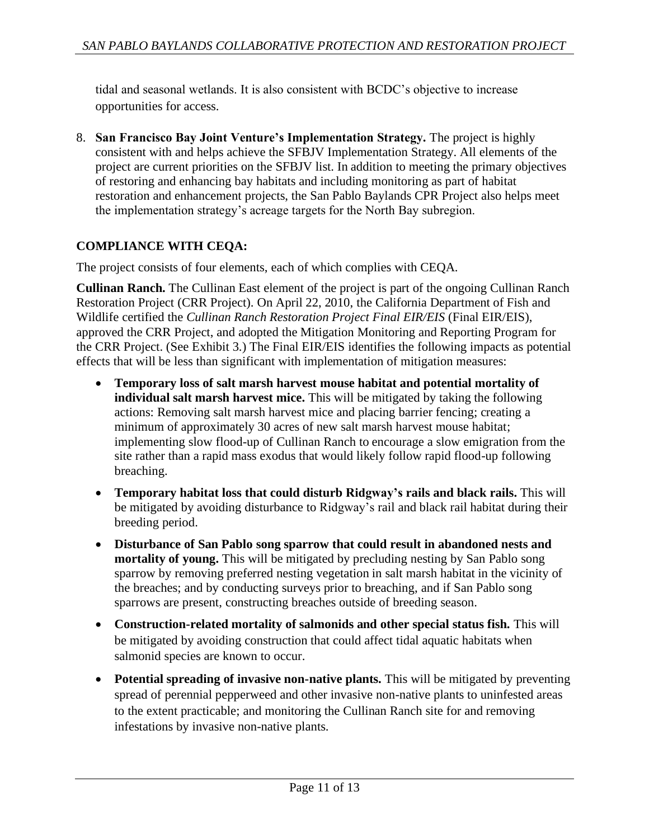tidal and seasonal wetlands. It is also consistent with BCDC's objective to increase opportunities for access.

8. **San Francisco Bay Joint Venture's Implementation Strategy.** The project is highly consistent with and helps achieve the SFBJV Implementation Strategy. All elements of the project are current priorities on the SFBJV list. In addition to meeting the primary objectives of restoring and enhancing bay habitats and including monitoring as part of habitat restoration and enhancement projects, the San Pablo Baylands CPR Project also helps meet the implementation strategy's acreage targets for the North Bay subregion.

# **COMPLIANCE WITH CEQA:**

The project consists of four elements, each of which complies with CEQA.

**Cullinan Ranch.** The Cullinan East element of the project is part of the ongoing Cullinan Ranch Restoration Project (CRR Project). On April 22, 2010, the California Department of Fish and Wildlife certified the *Cullinan Ranch Restoration Project Final EIR/EIS* (Final EIR/EIS), approved the CRR Project, and adopted the Mitigation Monitoring and Reporting Program for the CRR Project. (See Exhibit 3.) The Final EIR/EIS identifies the following impacts as potential effects that will be less than significant with implementation of mitigation measures:

- **Temporary loss of salt marsh harvest mouse habitat and potential mortality of individual salt marsh harvest mice.** This will be mitigated by taking the following actions: Removing salt marsh harvest mice and placing barrier fencing; creating a minimum of approximately 30 acres of new salt marsh harvest mouse habitat; implementing slow flood-up of Cullinan Ranch to encourage a slow emigration from the site rather than a rapid mass exodus that would likely follow rapid flood-up following breaching.
- **Temporary habitat loss that could disturb Ridgway's rails and black rails.** This will be mitigated by avoiding disturbance to Ridgway's rail and black rail habitat during their breeding period.
- **Disturbance of San Pablo song sparrow that could result in abandoned nests and mortality of young.** This will be mitigated by precluding nesting by San Pablo song sparrow by removing preferred nesting vegetation in salt marsh habitat in the vicinity of the breaches; and by conducting surveys prior to breaching, and if San Pablo song sparrows are present, constructing breaches outside of breeding season.
- **Construction-related mortality of salmonids and other special status fish.** This will be mitigated by avoiding construction that could affect tidal aquatic habitats when salmonid species are known to occur.
- **Potential spreading of invasive non-native plants.** This will be mitigated by preventing spread of perennial pepperweed and other invasive non-native plants to uninfested areas to the extent practicable; and monitoring the Cullinan Ranch site for and removing infestations by invasive non-native plants.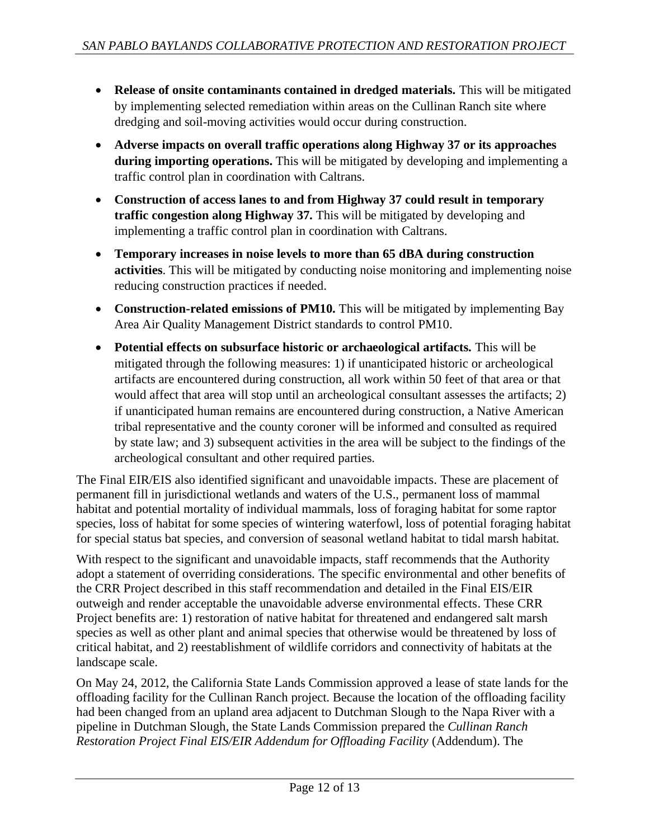- **Release of onsite contaminants contained in dredged materials.** This will be mitigated by implementing selected remediation within areas on the Cullinan Ranch site where dredging and soil-moving activities would occur during construction.
- **Adverse impacts on overall traffic operations along Highway 37 or its approaches during importing operations.** This will be mitigated by developing and implementing a traffic control plan in coordination with Caltrans.
- **Construction of access lanes to and from Highway 37 could result in temporary traffic congestion along Highway 37.** This will be mitigated by developing and implementing a traffic control plan in coordination with Caltrans.
- **Temporary increases in noise levels to more than 65 dBA during construction activities**. This will be mitigated by conducting noise monitoring and implementing noise reducing construction practices if needed.
- Construction-related emissions of PM10. This will be mitigated by implementing Bay Area Air Quality Management District standards to control PM10.
- **Potential effects on subsurface historic or archaeological artifacts.** This will be mitigated through the following measures: 1) if unanticipated historic or archeological artifacts are encountered during construction, all work within 50 feet of that area or that would affect that area will stop until an archeological consultant assesses the artifacts; 2) if unanticipated human remains are encountered during construction, a Native American tribal representative and the county coroner will be informed and consulted as required by state law; and 3) subsequent activities in the area will be subject to the findings of the archeological consultant and other required parties.

The Final EIR/EIS also identified significant and unavoidable impacts. These are placement of permanent fill in jurisdictional wetlands and waters of the U.S., permanent loss of mammal habitat and potential mortality of individual mammals, loss of foraging habitat for some raptor species, loss of habitat for some species of wintering waterfowl, loss of potential foraging habitat for special status bat species, and conversion of seasonal wetland habitat to tidal marsh habitat.

With respect to the significant and unavoidable impacts, staff recommends that the Authority adopt a statement of overriding considerations. The specific environmental and other benefits of the CRR Project described in this staff recommendation and detailed in the Final EIS/EIR outweigh and render acceptable the unavoidable adverse environmental effects. These CRR Project benefits are: 1) restoration of native habitat for threatened and endangered salt marsh species as well as other plant and animal species that otherwise would be threatened by loss of critical habitat, and 2) reestablishment of wildlife corridors and connectivity of habitats at the landscape scale.

On May 24, 2012, the California State Lands Commission approved a lease of state lands for the offloading facility for the Cullinan Ranch project. Because the location of the offloading facility had been changed from an upland area adjacent to Dutchman Slough to the Napa River with a pipeline in Dutchman Slough, the State Lands Commission prepared the *Cullinan Ranch Restoration Project Final EIS/EIR Addendum for Offloading Facility* (Addendum). The